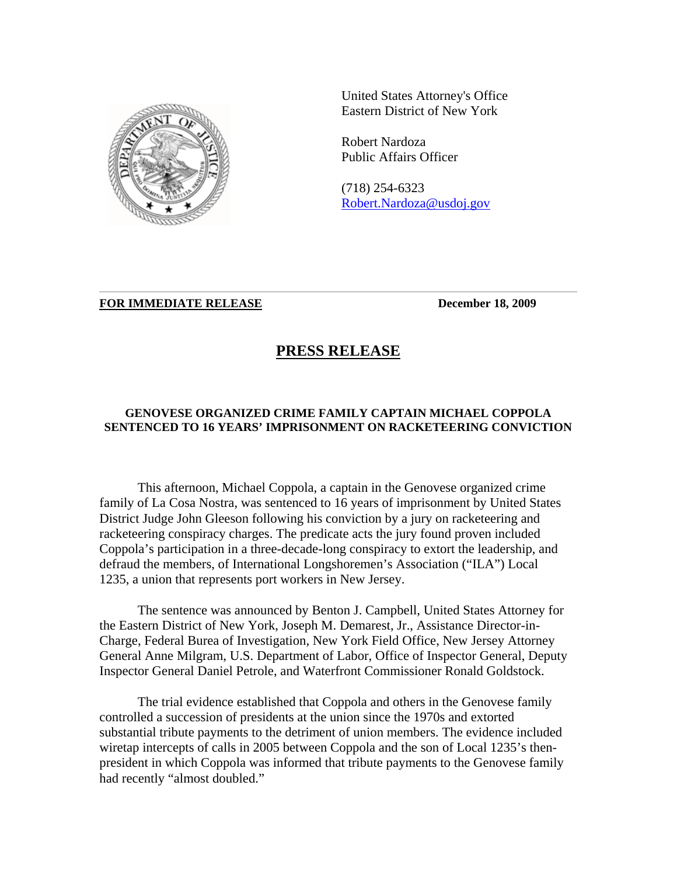

United States Attorney's Office Eastern District of New York

Robert Nardoza Public Affairs Officer

(718) 254-6323 Robert.Nardoza@usdoj.gov

## **FOR IMMEDIATE RELEASE December 18, 2009**

## **PRESS RELEASE**

## **GENOVESE ORGANIZED CRIME FAMILY CAPTAIN MICHAEL COPPOLA SENTENCED TO 16 YEARS' IMPRISONMENT ON RACKETEERING CONVICTION**

This afternoon, Michael Coppola, a captain in the Genovese organized crime family of La Cosa Nostra, was sentenced to 16 years of imprisonment by United States District Judge John Gleeson following his conviction by a jury on racketeering and racketeering conspiracy charges. The predicate acts the jury found proven included Coppola's participation in a three-decade-long conspiracy to extort the leadership, and defraud the members, of International Longshoremen's Association ("ILA") Local 1235, a union that represents port workers in New Jersey.

The sentence was announced by Benton J. Campbell, United States Attorney for the Eastern District of New York, Joseph M. Demarest, Jr., Assistance Director-in-Charge, Federal Burea of Investigation, New York Field Office, New Jersey Attorney General Anne Milgram, U.S. Department of Labor, Office of Inspector General, Deputy Inspector General Daniel Petrole, and Waterfront Commissioner Ronald Goldstock.

The trial evidence established that Coppola and others in the Genovese family controlled a succession of presidents at the union since the 1970s and extorted substantial tribute payments to the detriment of union members. The evidence included wiretap intercepts of calls in 2005 between Coppola and the son of Local 1235's thenpresident in which Coppola was informed that tribute payments to the Genovese family had recently "almost doubled."